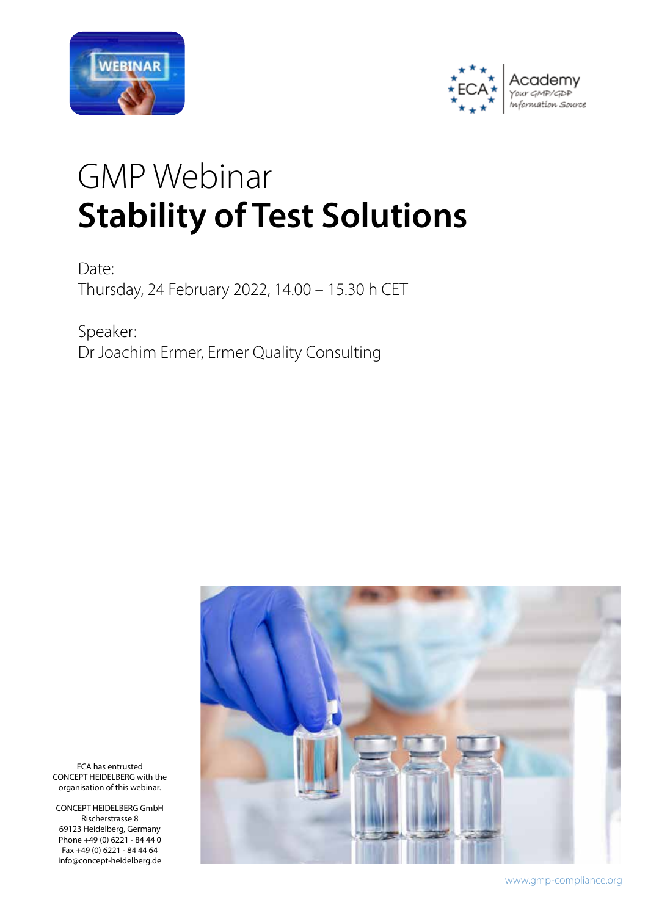



# GMP Webinar **Stability of Test Solutions**

Date: Thursday, 24 February 2022, 14.00 – 15.30 h CET

Speaker: Dr Joachim Ermer, Ermer Quality Consulting



ECA has entrusted CONCEPT HEIDELBERG with the organisation of this webinar.

CONCEPT HEIDELBERG GmbH Rischerstrasse 8 69123 Heidelberg, Germany Phone +49 (0) 6221 - 84 44 0 Fax +49 (0) 6221 - 84 44 64 info@concept-heidelberg.de